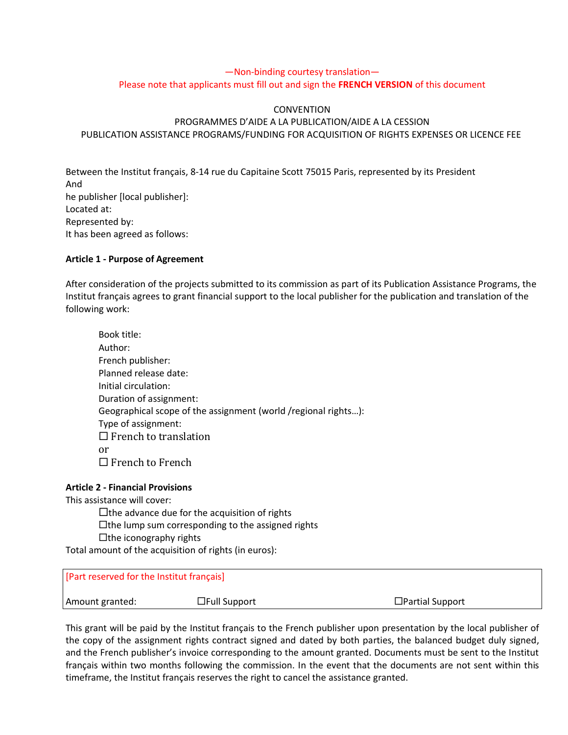# —Non-binding courtesy translation— Please note that applicants must fill out and sign the **FRENCH VERSION** of this document

## **CONVENTION**

# PROGRAMMES D'AIDE A LA PUBLICATION/AIDE A LA CESSION PUBLICATION ASSISTANCE PROGRAMS/FUNDING FOR ACQUISITION OF RIGHTS EXPENSES OR LICENCE FEE

Between the Institut français, 8-14 rue du Capitaine Scott 75015 Paris, represented by its President And he publisher [local publisher]: Located at: Represented by: It has been agreed as follows:

## **Article 1 - Purpose of Agreement**

After consideration of the projects submitted to its commission as part of its Publication Assistance Programs, the Institut français agrees to grant financial support to the local publisher for the publication and translation of the following work:

| Book title:                                                    |
|----------------------------------------------------------------|
| Author:                                                        |
| French publisher:                                              |
| Planned release date:                                          |
| Initial circulation:                                           |
| Duration of assignment:                                        |
| Geographical scope of the assignment (world /regional rights): |
| Type of assignment:                                            |
| $\Box$ French to translation                                   |
| or                                                             |
| $\Box$ French to French                                        |

## **Article 2 - Financial Provisions**

This assistance will cover:

 $\square$  the advance due for the acquisition of rights

 $\Box$  the lump sum corresponding to the assigned rights

 $\Box$ the iconography rights

Total amount of the acquisition of rights (in euros):

| [Part reserved for the Institut français] |                     |                        |
|-------------------------------------------|---------------------|------------------------|
| Amount granted:                           | $\Box$ Full Support | $\Box$ Partial Support |

This grant will be paid by the Institut français to the French publisher upon presentation by the local publisher of the copy of the assignment rights contract signed and dated by both parties, the balanced budget duly signed, and the French publisher's invoice corresponding to the amount granted. Documents must be sent to the Institut français within two months following the commission. In the event that the documents are not sent within this timeframe, the Institut français reserves the right to cancel the assistance granted.